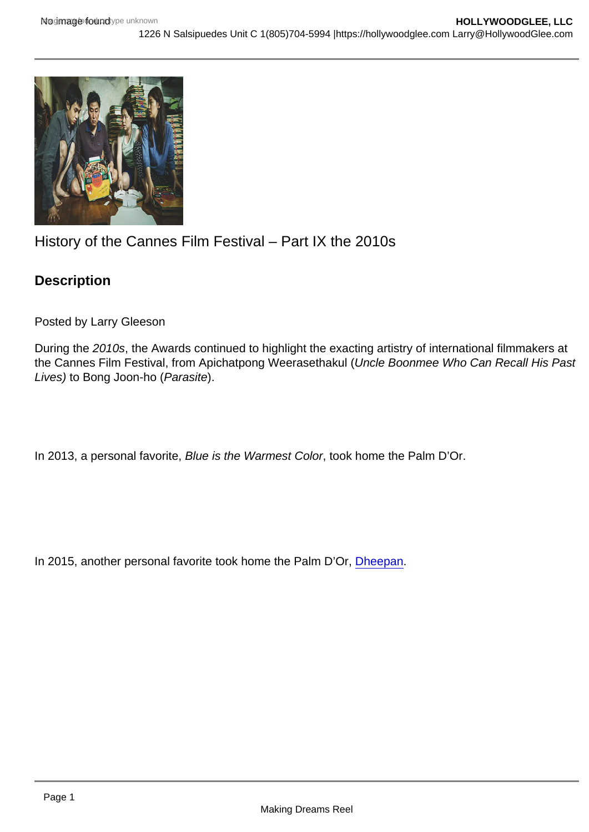## History of the Cannes Film Festival – Part IX the 2010s

**Description** 

Posted by Larry Gleeson

During the 2010s, the Awards continued to highlight the exacting artistry of international filmmakers at the Cannes Film Festival, from Apichatpong Weerasethakul (Uncle Boonmee Who Can Recall His Past Lives) to Bong Joon-ho (Parasite).

In 2013, a personal favorite, Blue is the Warmest Color, took home the Palm D'Or.

In 2015, another personal favorite took home the Palm D'Or, [Dheepan.](https://hollywoodglee.com/2015/11/18/dheepan/)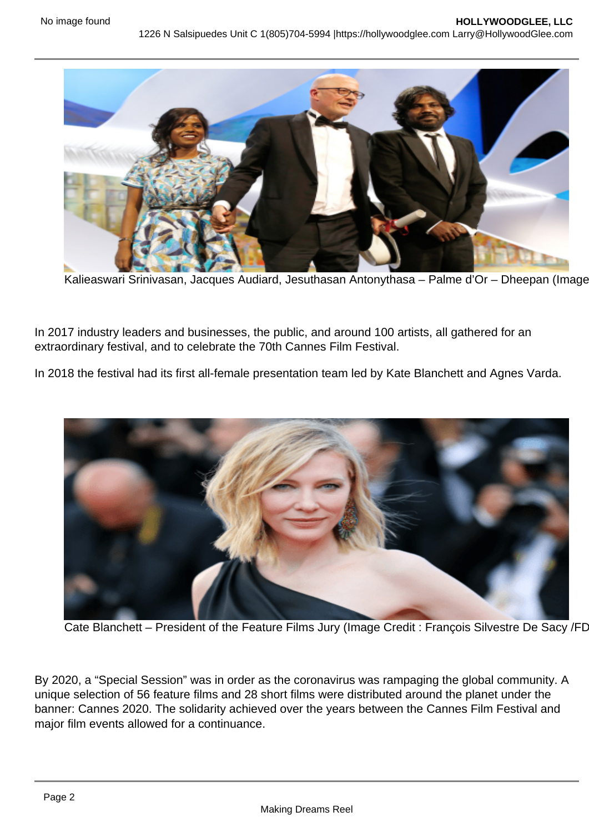Kalieaswari Srinivasan, Jacques Audiard, Jesuthasan Antonythasa – Palme d'Or – Dheepan (Image

In 2017 industry leaders and businesses, the public, and around 100 artists, all gathered for an extraordinary festival, and to celebrate the 70th Cannes Film Festival.

In 2018 the festival had its first all-female presentation team led by Kate Blanchett and Agnes Varda.

Cate Blanchett – President of the Feature Films Jury (Image Credit : François Silvestre De Sacy /FD

By 2020, a "Special Session" was in order as the coronavirus was rampaging the global community. A unique selection of 56 feature films and 28 short films were distributed around the planet under the banner: Cannes 2020. The solidarity achieved over the years between the Cannes Film Festival and major film events allowed for a continuance.